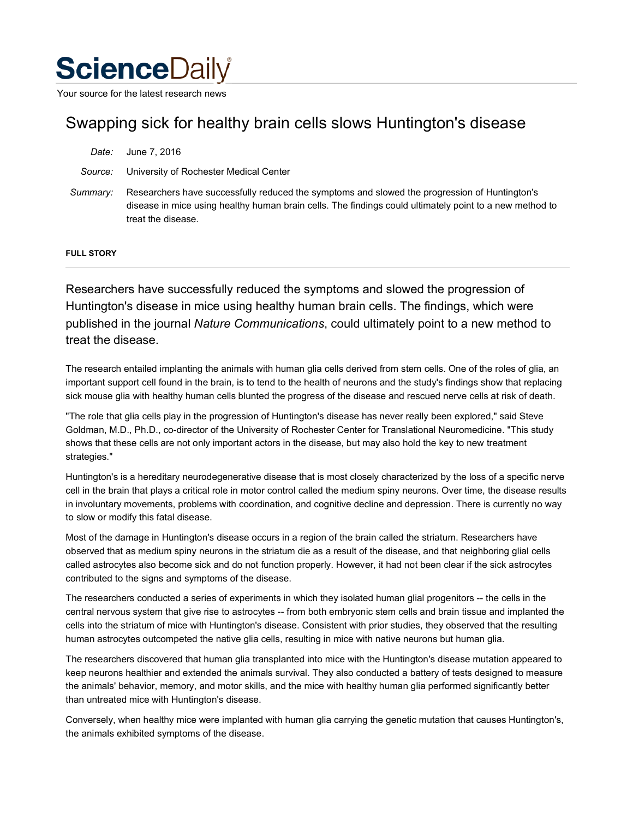# **Science**Daily

Your source for the latest research news

## Swapping sick for healthy brain cells slows Huntington's disease

| Date:    | June 7, 2016                                                                                                                                                                                                                   |
|----------|--------------------------------------------------------------------------------------------------------------------------------------------------------------------------------------------------------------------------------|
| Source:  | University of Rochester Medical Center                                                                                                                                                                                         |
| Summary: | Researchers have successfully reduced the symptoms and slowed the progression of Huntington's<br>disease in mice using healthy human brain cells. The findings could ultimately point to a new method to<br>treat the disease. |

#### **FULL STORY**

Researchers have successfully reduced the symptoms and slowed the progression of Huntington's disease in mice using healthy human brain cells. The findings, which were published in the journal *Nature Communications*, could ultimately point to a new method to treat the disease.

The research entailed implanting the animals with human glia cells derived from stem cells. One of the roles of glia, an important support cell found in the brain, is to tend to the health of neurons and the study's findings show that replacing sick mouse glia with healthy human cells blunted the progress of the disease and rescued nerve cells at risk of death.

"The role that glia cells play in the progression of Huntington's disease has never really been explored," said Steve Goldman, M.D., Ph.D., co-director of the University of Rochester Center for Translational Neuromedicine. "This study shows that these cells are not only important actors in the disease, but may also hold the key to new treatment strategies."

Huntington's is a hereditary neurodegenerative disease that is most closely characterized by the loss of a specific nerve cell in the brain that plays a critical role in motor control called the medium spiny neurons. Over time, the disease results in involuntary movements, problems with coordination, and cognitive decline and depression. There is currently no way to slow or modify this fatal disease.

Most of the damage in Huntington's disease occurs in a region of the brain called the striatum. Researchers have observed that as medium spiny neurons in the striatum die as a result of the disease, and that neighboring glial cells called astrocytes also become sick and do not function properly. However, it had not been clear if the sick astrocytes contributed to the signs and symptoms of the disease.

The researchers conducted a series of experiments in which they isolated human glial progenitors -- the cells in the central nervous system that give rise to astrocytes -- from both embryonic stem cells and brain tissue and implanted the cells into the striatum of mice with Huntington's disease. Consistent with prior studies, they observed that the resulting human astrocytes outcompeted the native glia cells, resulting in mice with native neurons but human glia.

The researchers discovered that human glia transplanted into mice with the Huntington's disease mutation appeared to keep neurons healthier and extended the animals survival. They also conducted a battery of tests designed to measure the animals' behavior, memory, and motor skills, and the mice with healthy human glia performed significantly better than untreated mice with Huntington's disease.

Conversely, when healthy mice were implanted with human glia carrying the genetic mutation that causes Huntington's, the animals exhibited symptoms of the disease.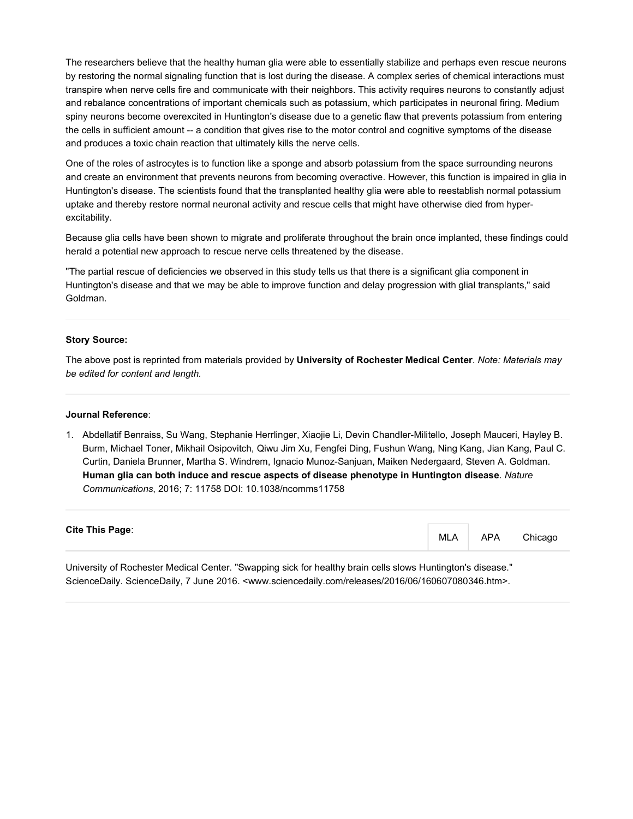The researchers believe that the healthy human glia were able to essentially stabilize and perhaps even rescue neurons by restoring the normal signaling function that is lost during the disease. A complex series of chemical interactions must transpire when nerve cells fire and communicate with their neighbors. This activity requires neurons to constantly adjust and rebalance concentrations of important chemicals such as potassium, which participates in neuronal firing. Medium spiny neurons become overexcited in Huntington's disease due to a genetic flaw that prevents potassium from entering the cells in sufficient amount -- a condition that gives rise to the motor control and cognitive symptoms of the disease and produces a toxic chain reaction that ultimately kills the nerve cells.

One of the roles of astrocytes is to function like a sponge and absorb potassium from the space surrounding neurons and create an environment that prevents neurons from becoming overactive. However, this function is impaired in glia in Huntington's disease. The scientists found that the transplanted healthy glia were able to reestablish normal potassium uptake and thereby restore normal neuronal activity and rescue cells that might have otherwise died from hyperexcitability.

Because glia cells have been shown to migrate and proliferate throughout the brain once implanted, these findings could herald a potential new approach to rescue nerve cells threatened by the disease.

"The partial rescue of deficiencies we observed in this study tells us that there is a significant glia component in Huntington's disease and that we may be able to improve function and delay progression with glial transplants," said Goldman.

#### **Story Source:**

The above post is reprinted from materials provided by **University of Rochester Medical Center**. *Note: Materials may be edited for content and length.*

#### **Journal Reference**:

1. Abdellatif Benraiss, Su Wang, Stephanie Herrlinger, Xiaojie Li, Devin Chandler-Militello, Joseph Mauceri, Hayley B. Burm, Michael Toner, Mikhail Osipovitch, Qiwu Jim Xu, Fengfei Ding, Fushun Wang, Ning Kang, Jian Kang, Paul C. Curtin, Daniela Brunner, Martha S. Windrem, Ignacio Munoz-Sanjuan, Maiken Nedergaard, Steven A. Goldman. **Human glia can both induce and rescue aspects of disease phenotype in Huntington disease**. *Nature Communications*, 2016; 7: 11758 DOI: 10.1038/ncomms11758

### **Cite This Page**:

MLA APA Chicago

University of Rochester Medical Center. "Swapping sick for healthy brain cells slows Huntington's disease." ScienceDaily. ScienceDaily, 7 June 2016. <www.sciencedaily.com/releases/2016/06/160607080346.htm>.